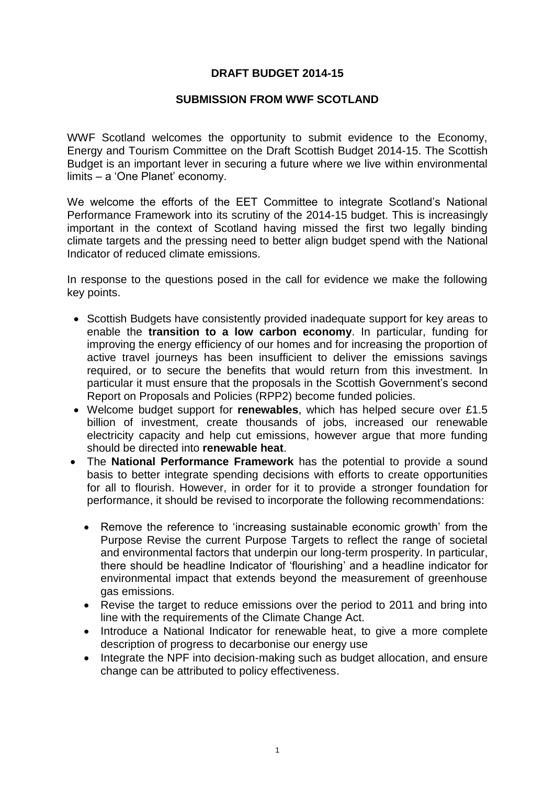## **DRAFT BUDGET 2014-15**

#### **SUBMISSION FROM WWF SCOTLAND**

WWF Scotland welcomes the opportunity to submit evidence to the Economy, Energy and Tourism Committee on the Draft Scottish Budget 2014-15. The Scottish Budget is an important lever in securing a future where we live within environmental limits – a 'One Planet' economy.

We welcome the efforts of the EET Committee to integrate Scotland's National Performance Framework into its scrutiny of the 2014-15 budget. This is increasingly important in the context of Scotland having missed the first two legally binding climate targets and the pressing need to better align budget spend with the National Indicator of reduced climate emissions.

In response to the questions posed in the call for evidence we make the following key points.

- Scottish Budgets have consistently provided inadequate support for key areas to enable the **transition to a low carbon economy**. In particular, funding for improving the energy efficiency of our homes and for increasing the proportion of active travel journeys has been insufficient to deliver the emissions savings required, or to secure the benefits that would return from this investment. In particular it must ensure that the proposals in the Scottish Government's second Report on Proposals and Policies (RPP2) become funded policies.
- Welcome budget support for **renewables**, which has helped secure over £1.5 billion of investment, create thousands of jobs, increased our renewable electricity capacity and help cut emissions, however argue that more funding should be directed into **renewable heat**.
- The **National Performance Framework** has the potential to provide a sound basis to better integrate spending decisions with efforts to create opportunities for all to flourish. However, in order for it to provide a stronger foundation for performance, it should be revised to incorporate the following recommendations:
	- Remove the reference to 'increasing sustainable economic growth' from the Purpose Revise the current Purpose Targets to reflect the range of societal and environmental factors that underpin our long-term prosperity. In particular, there should be headline Indicator of 'flourishing' and a headline indicator for environmental impact that extends beyond the measurement of greenhouse gas emissions.
	- Revise the target to reduce emissions over the period to 2011 and bring into line with the requirements of the Climate Change Act.
	- Introduce a National Indicator for renewable heat, to give a more complete description of progress to decarbonise our energy use
	- Integrate the NPF into decision-making such as budget allocation, and ensure change can be attributed to policy effectiveness.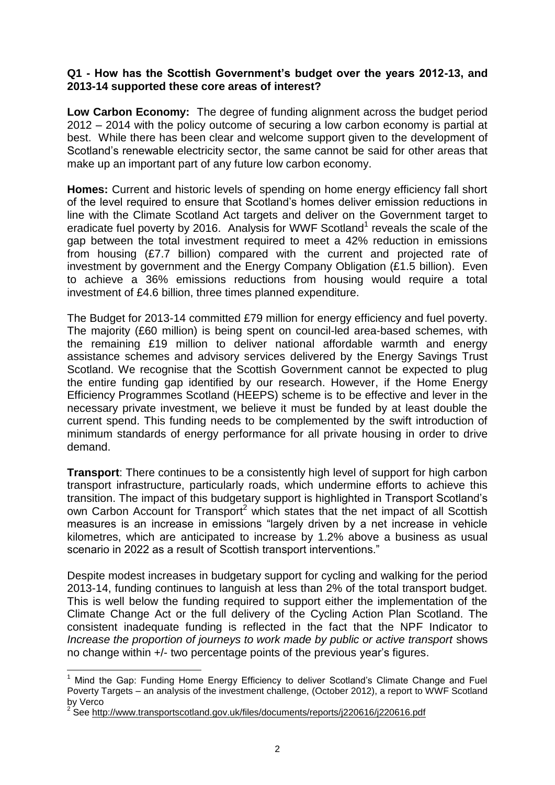### **Q1 - How has the Scottish Government's budget over the years 2012-13, and 2013-14 supported these core areas of interest?**

**Low Carbon Economy:** The degree of funding alignment across the budget period 2012 – 2014 with the policy outcome of securing a low carbon economy is partial at best. While there has been clear and welcome support given to the development of Scotland's renewable electricity sector, the same cannot be said for other areas that make up an important part of any future low carbon economy.

**Homes:** Current and historic levels of spending on home energy efficiency fall short of the level required to ensure that Scotland's homes deliver emission reductions in line with the Climate Scotland Act targets and deliver on the Government target to eradicate fuel poverty by 2016. Analysis for WWF Scotland<sup>1</sup> reveals the scale of the gap between the total investment required to meet a 42% reduction in emissions from housing (£7.7 billion) compared with the current and projected rate of investment by government and the Energy Company Obligation (£1.5 billion). Even to achieve a 36% emissions reductions from housing would require a total investment of £4.6 billion, three times planned expenditure.

The Budget for 2013-14 committed £79 million for energy efficiency and fuel poverty. The majority (£60 million) is being spent on council-led area-based schemes, with the remaining £19 million to deliver national affordable warmth and energy assistance schemes and advisory services delivered by the Energy Savings Trust Scotland. We recognise that the Scottish Government cannot be expected to plug the entire funding gap identified by our research. However, if the Home Energy Efficiency Programmes Scotland (HEEPS) scheme is to be effective and lever in the necessary private investment, we believe it must be funded by at least double the current spend. This funding needs to be complemented by the swift introduction of minimum standards of energy performance for all private housing in order to drive demand.

**Transport**: There continues to be a consistently high level of support for high carbon transport infrastructure, particularly roads, which undermine efforts to achieve this transition. The impact of this budgetary support is highlighted in Transport Scotland's own Carbon Account for Transport<sup>2</sup> which states that the net impact of all Scottish measures is an increase in emissions "largely driven by a net increase in vehicle kilometres, which are anticipated to increase by 1.2% above a business as usual scenario in 2022 as a result of Scottish transport interventions."

Despite modest increases in budgetary support for cycling and walking for the period 2013-14, funding continues to languish at less than 2% of the total transport budget. This is well below the funding required to support either the implementation of the Climate Change Act or the full delivery of the Cycling Action Plan Scotland. The consistent inadequate funding is reflected in the fact that the NPF Indicator to *Increase the proportion of journeys to work made by public or active transport shows* no change within +/- two percentage points of the previous year's figures.

**.** 

 $<sup>1</sup>$  Mind the Gap: Funding Home Energy Efficiency to deliver Scotland's Climate Change and Fuel</sup> Poverty Targets – an analysis of the investment challenge, (October 2012), a report to WWF Scotland by Verco

See<http://www.transportscotland.gov.uk/files/documents/reports/j220616/j220616.pdf>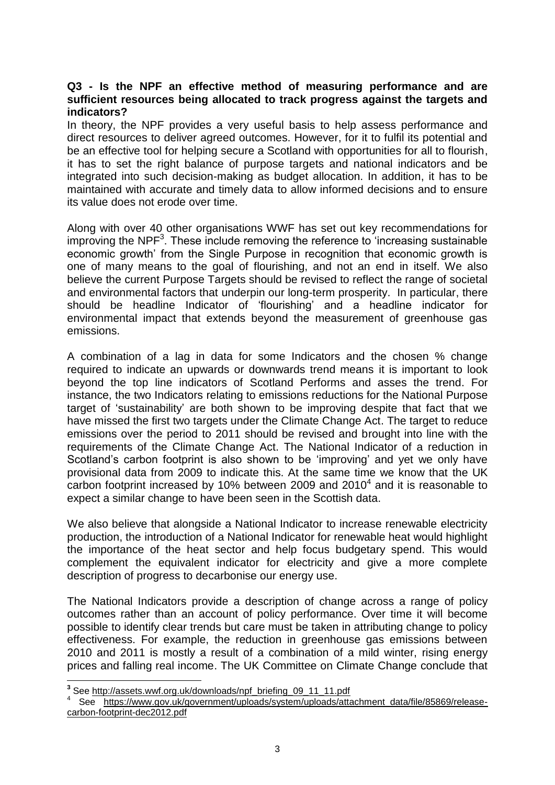## **Q3 - Is the NPF an effective method of measuring performance and are sufficient resources being allocated to track progress against the targets and indicators?**

In theory, the NPF provides a very useful basis to help assess performance and direct resources to deliver agreed outcomes. However, for it to fulfil its potential and be an effective tool for helping secure a Scotland with opportunities for all to flourish, it has to set the right balance of purpose targets and national indicators and be integrated into such decision-making as budget allocation. In addition, it has to be maintained with accurate and timely data to allow informed decisions and to ensure its value does not erode over time.

Along with over 40 other organisations WWF has set out key recommendations for improving the NPF<sup>3</sup>. These include removing the reference to 'increasing sustainable economic growth' from the Single Purpose in recognition that economic growth is one of many means to the goal of flourishing, and not an end in itself. We also believe the current Purpose Targets should be revised to reflect the range of societal and environmental factors that underpin our long-term prosperity. In particular, there should be headline Indicator of 'flourishing' and a headline indicator for environmental impact that extends beyond the measurement of greenhouse gas emissions.

A combination of a lag in data for some Indicators and the chosen % change required to indicate an upwards or downwards trend means it is important to look beyond the top line indicators of Scotland Performs and asses the trend. For instance, the two Indicators relating to emissions reductions for the National Purpose target of 'sustainability' are both shown to be improving despite that fact that we have missed the first two targets under the Climate Change Act. The target to reduce emissions over the period to 2011 should be revised and brought into line with the requirements of the Climate Change Act. The National Indicator of a reduction in Scotland's carbon footprint is also shown to be 'improving' and yet we only have provisional data from 2009 to indicate this. At the same time we know that the UK carbon footprint increased by 10% between 2009 and 2010<sup>4</sup> and it is reasonable to expect a similar change to have been seen in the Scottish data.

We also believe that alongside a National Indicator to increase renewable electricity production, the introduction of a National Indicator for renewable heat would highlight the importance of the heat sector and help focus budgetary spend. This would complement the equivalent indicator for electricity and give a more complete description of progress to decarbonise our energy use.

The National Indicators provide a description of change across a range of policy outcomes rather than an account of policy performance. Over time it will become possible to identify clear trends but care must be taken in attributing change to policy effectiveness. For example, the reduction in greenhouse gas emissions between 2010 and 2011 is mostly a result of a combination of a mild winter, rising energy prices and falling real income. The UK Committee on Climate Change conclude that

 **3** See [http://assets.wwf.org.uk/downloads/npf\\_briefing\\_09\\_11\\_11.pdf](http://assets.wwf.org.uk/downloads/npf_briefing_09_11_11.pdf)

<sup>4</sup> See [https://www.gov.uk/government/uploads/system/uploads/attachment\\_data/file/85869/release](https://www.gov.uk/government/uploads/system/uploads/attachment_data/file/85869/release-carbon-footprint-dec2012.pdf)[carbon-footprint-dec2012.pdf](https://www.gov.uk/government/uploads/system/uploads/attachment_data/file/85869/release-carbon-footprint-dec2012.pdf)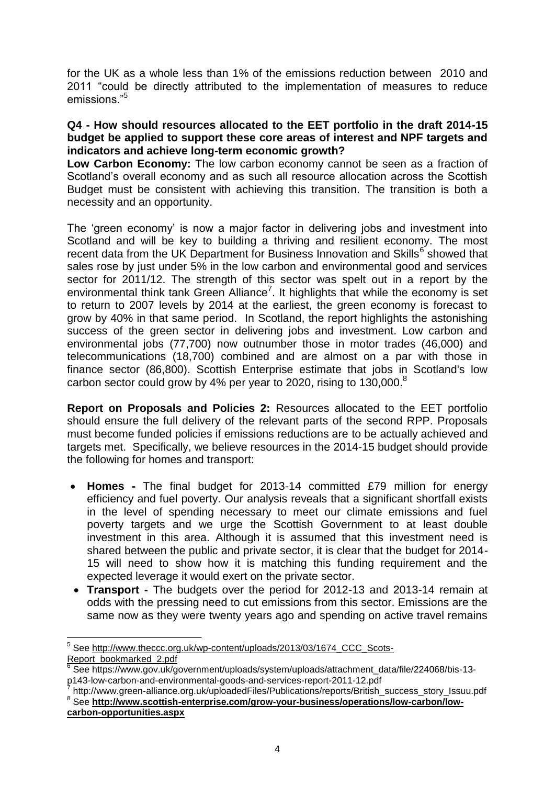for the UK as a whole less than 1% of the emissions reduction between 2010 and 2011 "could be directly attributed to the implementation of measures to reduce emissions."<sup>5</sup>

# **Q4 - How should resources allocated to the EET portfolio in the draft 2014-15 budget be applied to support these core areas of interest and NPF targets and indicators and achieve long-term economic growth?**

**Low Carbon Economy:** The low carbon economy cannot be seen as a fraction of Scotland's overall economy and as such all resource allocation across the Scottish Budget must be consistent with achieving this transition. The transition is both a necessity and an opportunity.

The 'green economy' is now a major factor in delivering jobs and investment into Scotland and will be key to building a thriving and resilient economy. The most recent data from the UK Department for Business Innovation and Skills<sup>6</sup> showed that sales rose by just under 5% in the low carbon and environmental good and services sector for 2011/12. The strength of this sector was spelt out in a report by the environmental think tank Green Alliance<sup>7</sup>. It highlights that while the economy is set to return to 2007 levels by 2014 at the earliest, the green economy is forecast to grow by 40% in that same period. In Scotland, the report highlights the astonishing success of the green sector in delivering jobs and investment. Low carbon and environmental jobs (77,700) now outnumber those in motor trades (46,000) and telecommunications (18,700) combined and are almost on a par with those in finance sector (86,800). Scottish Enterprise estimate that jobs in Scotland's low carbon sector could grow by 4% per year to 2020, rising to 130,000. $8$ 

**Report on Proposals and Policies 2:** Resources allocated to the EET portfolio should ensure the full delivery of the relevant parts of the second RPP. Proposals must become funded policies if emissions reductions are to be actually achieved and targets met. Specifically, we believe resources in the 2014-15 budget should provide the following for homes and transport:

- **Homes -** The final budget for 2013-14 committed £79 million for energy efficiency and fuel poverty. Our analysis reveals that a significant shortfall exists in the level of spending necessary to meet our climate emissions and fuel poverty targets and we urge the Scottish Government to at least double investment in this area. Although it is assumed that this investment need is shared between the public and private sector, it is clear that the budget for 2014- 15 will need to show how it is matching this funding requirement and the expected leverage it would exert on the private sector.
- **Transport -** The budgets over the period for 2012-13 and 2013-14 remain at odds with the pressing need to cut emissions from this sector. Emissions are the same now as they were twenty years ago and spending on active travel remains

**<sup>.</sup>** 5 See http://www.theccc.org.uk/wp-content/uploads/2013/03/1674 CCC\_Scots-[Report\\_bookmarked\\_2.pdf](http://www.theccc.org.uk/wp-content/uploads/2013/03/1674_CCC_Scots-Report_bookmarked_2.pdf)

<sup>6</sup> See https://www.gov.uk/government/uploads/system/uploads/attachment\_data/file/224068/bis-13 p143-low-carbon-and-environmental-goods-and-services-report-2011-12.pdf 7

http://www.green-alliance.org.uk/uploadedFiles/Publications/reports/British\_success\_story\_Issuu.pdf <sup>8</sup> See [http://www.scottish-enterprise.com/grow-your-business/operations/low-carbon/low](http://www.scottish-enterprise.com/grow-your-business/operations/low-carbon/low-carbon-opportunities.aspx)**[carbon-opportunities.aspx](http://www.scottish-enterprise.com/grow-your-business/operations/low-carbon/low-carbon-opportunities.aspx)**